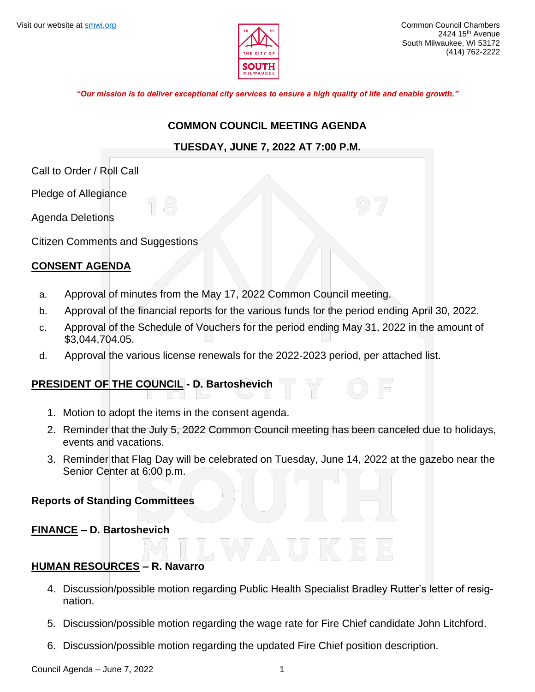

*"Our mission is to deliver exceptional city services to ensure a high quality of life and enable growth."*

#### **COMMON COUNCIL MEETING AGENDA**

## **TUESDAY, JUNE 7, 2022 AT 7:00 P.M.**

Call to Order / Roll Call

Pledge of Allegiance

Agenda Deletions

Citizen Comments and Suggestions

## **CONSENT AGENDA**

- a. Approval of minutes from the May 17, 2022 Common Council meeting.
- b. Approval of the financial reports for the various funds for the period ending April 30, 2022.
- c. Approval of the Schedule of Vouchers for the period ending May 31, 2022 in the amount of \$3,044,704.05.
- d. Approval the various license renewals for the 2022-2023 period, per attached list.

### **PRESIDENT OF THE COUNCIL - D. Bartoshevich**

- 1. Motion to adopt the items in the consent agenda.
- 2. Reminder that the July 5, 2022 Common Council meeting has been canceled due to holidays, events and vacations.
- 3. Reminder that Flag Day will be celebrated on Tuesday, June 14, 2022 at the gazebo near the Senior Center at 6:00 p.m.

### **Reports of Standing Committees**

### **FINANCE – D. Bartoshevich**

### **HUMAN RESOURCES – R. Navarro**

- 4. Discussion/possible motion regarding Public Health Specialist Bradley Rutter's letter of resignation.
- 5. Discussion/possible motion regarding the wage rate for Fire Chief candidate John Litchford.
- 6. Discussion/possible motion regarding the updated Fire Chief position description.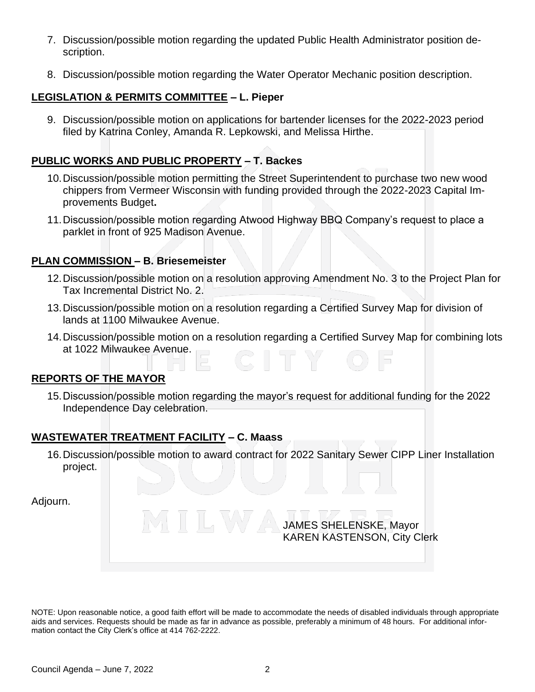- 7. Discussion/possible motion regarding the updated Public Health Administrator position description.
- 8. Discussion/possible motion regarding the Water Operator Mechanic position description.

## **LEGISLATION & PERMITS COMMITTEE – L. Pieper**

9. Discussion/possible motion on applications for bartender licenses for the 2022-2023 period filed by Katrina Conley, Amanda R. Lepkowski, and Melissa Hirthe.

## **PUBLIC WORKS AND PUBLIC PROPERTY – T. Backes**

- 10.Discussion/possible motion permitting the Street Superintendent to purchase two new wood chippers from Vermeer Wisconsin with funding provided through the 2022-2023 Capital Improvements Budget**.**
- 11.Discussion/possible motion regarding Atwood Highway BBQ Company's request to place a parklet in front of 925 Madison Avenue.

## **PLAN COMMISSION – B. Briesemeister**

- 12.Discussion/possible motion on a resolution approving Amendment No. 3 to the Project Plan for Tax Incremental District No. 2.
- 13.Discussion/possible motion on a resolution regarding a Certified Survey Map for division of lands at 1100 Milwaukee Avenue.
- 14.Discussion/possible motion on a resolution regarding a Certified Survey Map for combining lots at 1022 Milwaukee Avenue.

### **REPORTS OF THE MAYOR**

15.Discussion/possible motion regarding the mayor's request for additional funding for the 2022 Independence Day celebration.

### **WASTEWATER TREATMENT FACILITY – C. Maass**

16.Discussion/possible motion to award contract for 2022 Sanitary Sewer CIPP Liner Installation project.

Adjourn.

JAMES SHELENSKE, Mayor KAREN KASTENSON, City Clerk

NOTE: Upon reasonable notice, a good faith effort will be made to accommodate the needs of disabled individuals through appropriate aids and services. Requests should be made as far in advance as possible, preferably a minimum of 48 hours. For additional information contact the City Clerk's office at 414 762-2222.